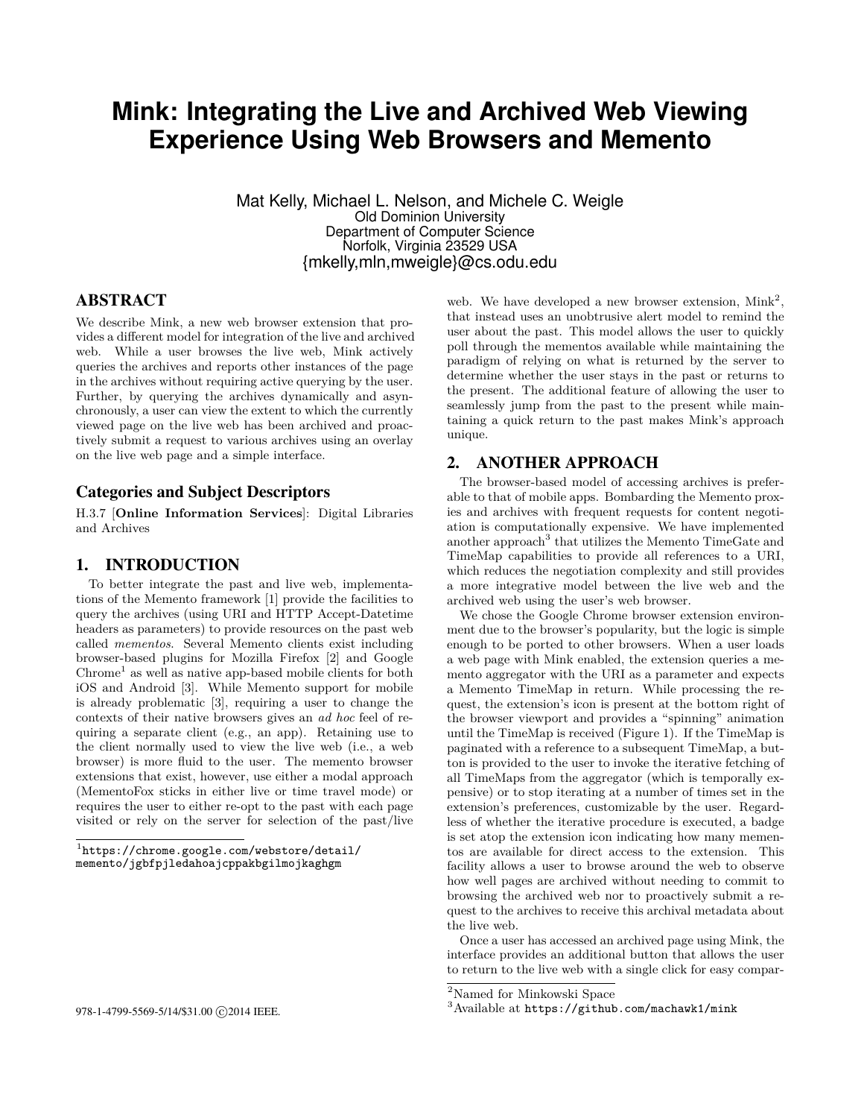# **Mink: Integrating the Live and Archived Web Viewing Experience Using Web Browsers and Memento**

Mat Kelly, Michael L. Nelson, and Michele C. Weigle Old Dominion University Department of Computer Science Norfolk, Virginia 23529 USA {mkelly,mln,mweigle}@cs.odu.edu

#### ABSTRACT

We describe Mink, a new web browser extension that provides a different model for integration of the live and archived web. While a user browses the live web, Mink actively queries the archives and reports other instances of the page in the archives without requiring active querying by the user. Further, by querying the archives dynamically and asynchronously, a user can view the extent to which the currently viewed page on the live web has been archived and proactively submit a request to various archives using an overlay on the live web page and a simple interface.

### Categories and Subject Descriptors

H.3.7 [**Online Information Services**]: Digital Libraries and Archives

#### 1. INTRODUCTION

To better integrate the past and live web, implementations of the Memento framework [1] provide the facilities to query the archives (using URI and HTTP Accept-Datetime headers as parameters) to provide resources on the past web called *mementos*. Several Memento clients exist including browser-based plugins for Mozilla Firefox [2] and Google Chrome<sup>1</sup> as well as native app-based mobile clients for both iOS and Android [3]. While Memento support for mobile is already problematic [3], requiring a user to change the contexts of their native browsers gives an *ad hoc* feel of requiring a separate client (e.g., an app). Retaining use to the client normally used to view the live web (i.e., a web browser) is more fluid to the user. The memento browser extensions that exist, however, use either a modal approach (MementoFox sticks in either live or time travel mode) or requires the user to either re-opt to the past with each page visited or rely on the server for selection of the past/live

1 https://chrome.google.com/webstore/detail/ memento/jgbfpjledahoajcppakbgilmojkaghgm

978-1-4799-5569-5/14/\$31.00 C2014 IEEE.

web. We have developed a new browser extension,  $Mink^2$ , that instead uses an unobtrusive alert model to remind the user about the past. This model allows the user to quickly poll through the mementos available while maintaining the paradigm of relying on what is returned by the server to determine whether the user stays in the past or returns to the present. The additional feature of allowing the user to seamlessly jump from the past to the present while maintaining a quick return to the past makes Mink's approach unique.

#### 2. ANOTHER APPROACH

The browser-based model of accessing archives is preferable to that of mobile apps. Bombarding the Memento proxies and archives with frequent requests for content negotiation is computationally expensive. We have implemented another approach<sup>3</sup> that utilizes the Memento TimeGate and TimeMap capabilities to provide all references to a URI, which reduces the negotiation complexity and still provides a more integrative model between the live web and the archived web using the user's web browser.

We chose the Google Chrome browser extension environment due to the browser's popularity, but the logic is simple enough to be ported to other browsers. When a user loads a web page with Mink enabled, the extension queries a memento aggregator with the URI as a parameter and expects a Memento TimeMap in return. While processing the request, the extension's icon is present at the bottom right of the browser viewport and provides a "spinning" animation until the TimeMap is received (Figure 1). If the TimeMap is paginated with a reference to a subsequent TimeMap, a button is provided to the user to invoke the iterative fetching of all TimeMaps from the aggregator (which is temporally expensive) or to stop iterating at a number of times set in the extension's preferences, customizable by the user. Regardless of whether the iterative procedure is executed, a badge is set atop the extension icon indicating how many mementos are available for direct access to the extension. This facility allows a user to browse around the web to observe how well pages are archived without needing to commit to browsing the archived web nor to proactively submit a request to the archives to receive this archival metadata about the live web.

Once a user has accessed an archived page using Mink, the interface provides an additional button that allows the user to return to the live web with a single click for easy compar-

<sup>2</sup>Named for Minkowski Space

 $3$ Available at https://github.com/machawk1/mink